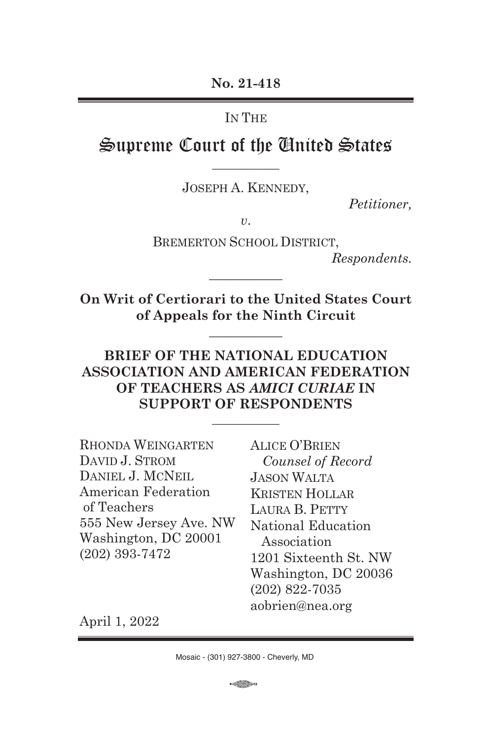**No. 21-418**

IN THE

Supreme Court of the United States **\_\_\_\_\_\_\_\_\_\_\_**

JOSEPH A. KENNEDY,

*Petitioner,*

*v*.

BREMERTON SCHOOL DISTRICT,

*Respondents.*

**On Writ of Certiorari to the United States Court of Appeals for the Ninth Circuit**

**\_\_\_\_\_\_\_\_\_\_\_**

**\_\_\_\_\_\_\_\_\_\_\_**

## **BRIEF OF THE NATIONAL EDUCATION ASSOCIATION AND AMERICAN FEDERATION OF TEACHERS AS** *AMICI CURIAE* **IN SUPPORT OF RESPONDENTS**

**\_\_\_\_\_\_\_\_\_\_\_**

RHONDA WEINGARTEN DAVID J. STROM DANIEL J. MCNEIL American Federation of Teachers 555 New Jersey Ave. NW Washington, DC 20001 (202) 393-7472

ALICE O'BRIEN *Counsel of Record* JASON WALTA KRISTEN HOLLAR LAURA B. PETTY National Education Association 1201 Sixteenth St. NW Washington, DC 20036 (202) 822-7035 aobrien@nea.org

April 1, 2022

 $\bigoplus$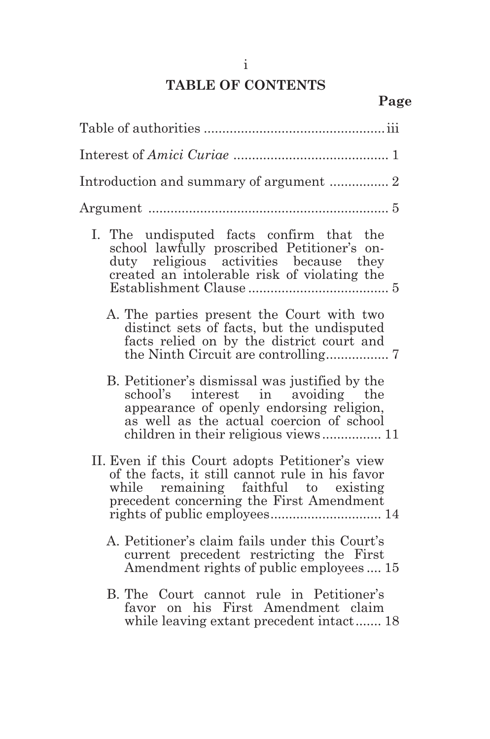# **TABLE OF CONTENTS**

| Introduction and summary of argument  2                                                                                                                                                                             |  |  |  |  |
|---------------------------------------------------------------------------------------------------------------------------------------------------------------------------------------------------------------------|--|--|--|--|
|                                                                                                                                                                                                                     |  |  |  |  |
| I. The undisputed facts confirm that the<br>school lawfully proscribed Petitioner's on-<br>duty religious activities because they<br>created an intolerable risk of violating the                                   |  |  |  |  |
| A. The parties present the Court with two<br>distinct sets of facts, but the undisputed<br>facts relied on by the district court and                                                                                |  |  |  |  |
| B. Petitioner's dismissal was justified by the<br>school's interest in avoiding the<br>appearance of openly endorsing religion,<br>as well as the actual coercion of school<br>children in their religious views 11 |  |  |  |  |
| II. Even if this Court adopts Petitioner's view<br>of the facts, it still cannot rule in his favor<br>while remaining faithful to existing<br>precedent concerning the First Amendment                              |  |  |  |  |
| A. Petitioner's claim fails under this Court's<br>current precedent restricting the First<br>Amendment rights of public employees  15                                                                               |  |  |  |  |
| B. The Court cannot rule in Petitioner's<br>favor on his First Amendment claim<br>while leaving extant precedent intact 18                                                                                          |  |  |  |  |
|                                                                                                                                                                                                                     |  |  |  |  |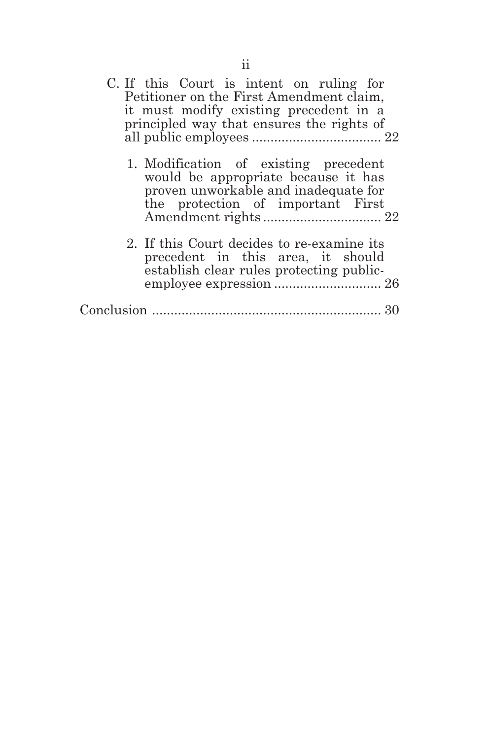| C. If this Court is intent on ruling for<br>Petitioner on the First Amendment claim,<br>it must modify existing precedent in a<br>principled way that ensures the rights of |
|-----------------------------------------------------------------------------------------------------------------------------------------------------------------------------|
| 1. Modification of existing precedent<br>would be appropriate because it has<br>proven unworkable and inadequate for<br>the protection of important First                   |
| 2. If this Court decides to re-examine its<br>precedent in this area, it should<br>establish clear rules protecting public-                                                 |
|                                                                                                                                                                             |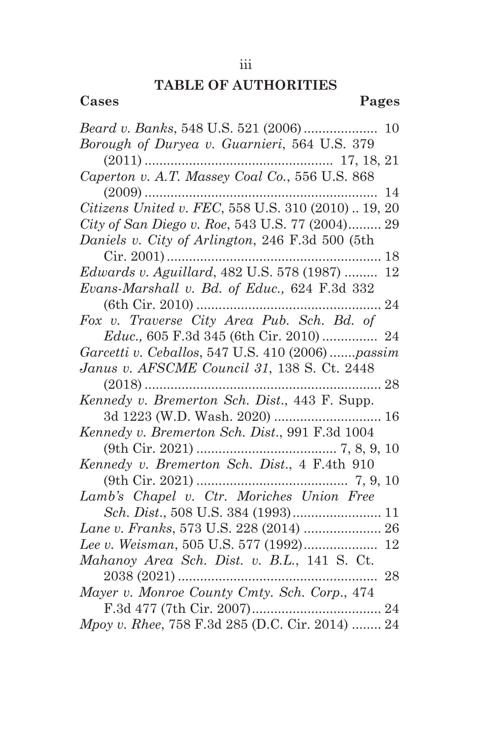## **TABLE OF AUTHORITIES**

| Cases                                                                                            | Pages |
|--------------------------------------------------------------------------------------------------|-------|
|                                                                                                  |       |
| Borough of Duryea v. Guarnieri, 564 U.S. 379                                                     |       |
|                                                                                                  |       |
| Caperton v. A.T. Massey Coal Co., 556 U.S. 868                                                   |       |
|                                                                                                  |       |
| $(2009) \dots 14$ $\textit{Citizens United v. FEC}, 558 \text{ U.S. } 310 \ (2010) \dots 19, 20$ |       |
| City of San Diego v. Roe, 543 U.S. 77 (2004) 29                                                  |       |
| Daniels v. City of Arlington, 246 F.3d 500 (5th                                                  |       |
|                                                                                                  |       |
| Edwards v. Aguillard, 482 U.S. 578 (1987)  12                                                    |       |
| Evans-Marshall v. Bd. of Educ., 624 F.3d 332                                                     |       |
|                                                                                                  |       |
| Fox v. Traverse City Area Pub. Sch. Bd. of                                                       |       |
| Educ., 605 F.3d 345 (6th Cir. 2010)  24                                                          |       |
| Garcetti v. Ceballos, 547 U.S. 410 (2006) passim                                                 |       |
| Janus v. AFSCME Council 31, 138 S. Ct. 2448                                                      |       |
|                                                                                                  |       |
| Kennedy v. Bremerton Sch. Dist., 443 F. Supp.                                                    |       |
|                                                                                                  |       |
| Kennedy v. Bremerton Sch. Dist., 991 F.3d 1004                                                   |       |
|                                                                                                  |       |
| Kennedy v. Bremerton Sch. Dist., 4 F.4th 910                                                     |       |
|                                                                                                  |       |
| Lamb's Chapel v. Ctr. Moriches Union Free                                                        |       |
|                                                                                                  |       |
| Lane v. Franks, 573 U.S. 228 (2014)  26                                                          |       |
| Lee v. Weisman, 505 U.S. 577 (1992) 12                                                           |       |
| Mahanoy Area Sch. Dist. v. B.L., 141 S. Ct.                                                      |       |
| 2038 (2021)<br>Mayer v. Monroe County Cmty. Sch. Corp., 474                                      | 28    |
|                                                                                                  |       |
| Mpoy v. Rhee, 758 F.3d 285 (D.C. Cir. 2014)  24                                                  |       |
|                                                                                                  |       |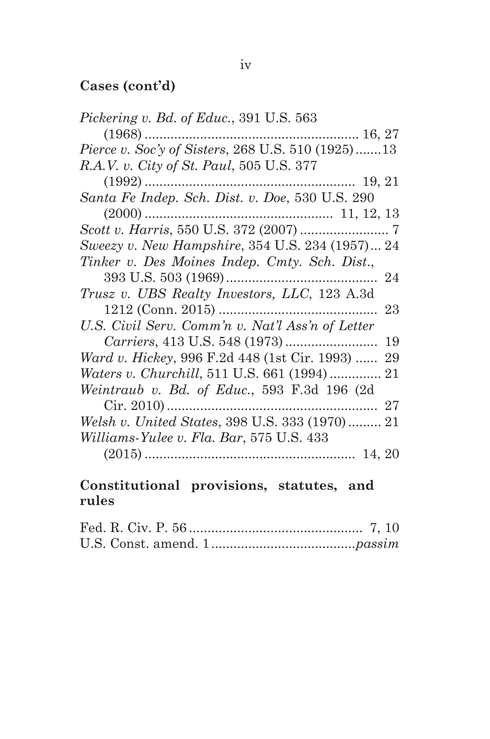# **Cases (cont'd)**

| <i>Pickering v. Bd. of Educ.</i> , 391 U.S. 563          |
|----------------------------------------------------------|
|                                                          |
| <i>Pierce v. Soc'y of Sisters, 268 U.S. 510 (1925)13</i> |
| R.A.V. v. City of St. Paul, 505 U.S. 377                 |
|                                                          |
| Santa Fe Indep. Sch. Dist. v. Doe, 530 U.S. 290          |
|                                                          |
|                                                          |
| Sweezy v. New Hampshire, 354 U.S. 234 (1957) 24          |
| Tinker v. Des Moines Indep. Cmty. Sch. Dist.,            |
|                                                          |
| <i>Trusz v. UBS Realty Investors, LLC, 123 A.3d</i>      |
|                                                          |
| U.S. Civil Serv. Comm'n v. Nat'l Ass'n of Letter         |
|                                                          |
| Ward v. Hickey, 996 F.2d 448 (1st Cir. 1993)  29         |
|                                                          |
| Weintraub v. Bd. of Educ., 593 F.3d 196 (2d              |
|                                                          |
| Welsh v. United States, 398 U.S. 333 (1970) 21           |
| Williams-Yulee v. Fla. Bar, 575 U.S. 433                 |
|                                                          |
|                                                          |

## **Constitutional provisions, statutes, and rules**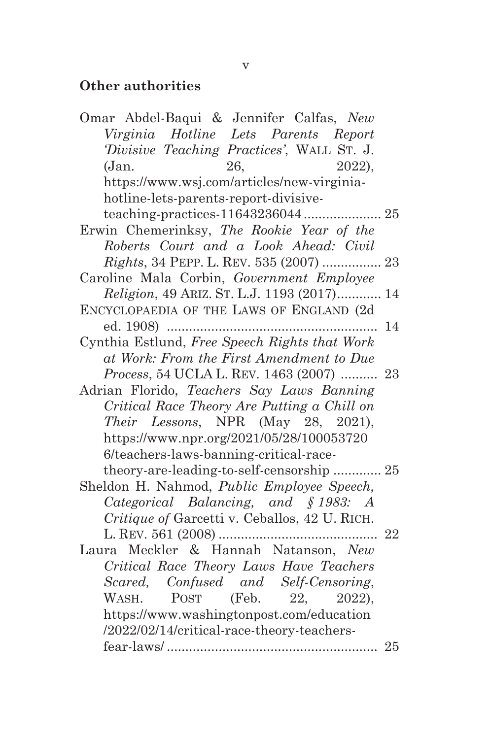## **Other authorities**

| Omar Abdel-Baqui & Jennifer Calfas, New         |    |
|-------------------------------------------------|----|
| Virginia Hotline Lets Parents Report            |    |
| Divisive Teaching Practices', WALL ST. J.       |    |
| 26,<br>2022),<br>(Jan.                          |    |
| https://www.wsj.com/articles/new-virginia-      |    |
| hotline-lets-parents-report-divisive-           |    |
|                                                 |    |
| Erwin Chemerinksy, The Rookie Year of the       |    |
| Roberts Court and a Look Ahead: Civil           |    |
| <i>Rights</i> , 34 PEPP. L. REV. 535 (2007)  23 |    |
| Caroline Mala Corbin, Government Employee       |    |
| <i>Religion, 49 ARIZ. ST. L.J. 1193 (2017)</i>  | 14 |
| ENCYCLOPAEDIA OF THE LAWS OF ENGLAND (2d        |    |
|                                                 | 14 |
| Cynthia Estlund, Free Speech Rights that Work   |    |
| at Work: From the First Amendment to Due        |    |
| Process, 54 UCLA L. REV. 1463 (2007)  23        |    |
| Adrian Florido, Teachers Say Laws Banning       |    |
| Critical Race Theory Are Putting a Chill on     |    |
| Their Lessons, NPR (May 28, 2021),              |    |
| https://www.npr.org/2021/05/28/100053720        |    |
| 6/teachers-laws-banning-critical-race-          |    |
| theory-are-leading-to-self-censorship  25       |    |
| Sheldon H. Nahmod, Public Employee Speech,      |    |
| Categorical Balancing, and §1983: A             |    |
| Critique of Garcetti v. Ceballos, 42 U. RICH.   |    |
|                                                 |    |
| Laura Meckler & Hannah Natanson, New            |    |
| Critical Race Theory Laws Have Teachers         |    |
| Scared, Confused and Self-Censoring,            |    |
| POST (Feb. 22, 2022),<br>WASH.                  |    |
| https://www.washingtonpost.com/education        |    |
| /2022/02/14/critical-race-theory-teachers-      |    |
|                                                 |    |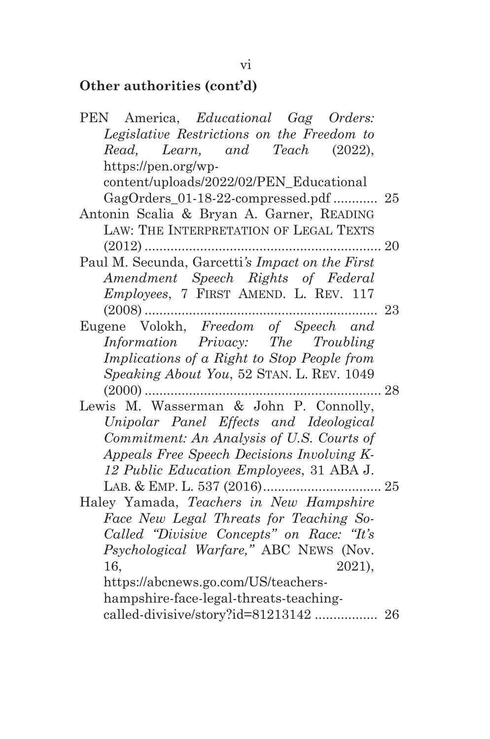# **Other authorities (cont'd)**

| PEN America, Educational Gag Orders:            |              |
|-------------------------------------------------|--------------|
| Legislative Restrictions on the Freedom to      |              |
| Read, Learn, and Teach (2022),                  |              |
| https://pen.org/wp-                             |              |
| content/uploads/2022/02/PEN_Educational         |              |
| GagOrders_01-18-22-compressed.pdf  25           |              |
| Antonin Scalia & Bryan A. Garner, READING       |              |
| LAW: THE INTERPRETATION OF LEGAL TEXTS          |              |
|                                                 | $\ldots$ 20  |
| Paul M. Secunda, Garcetti's Impact on the First |              |
| Amendment Speech Rights of Federal              |              |
| Employees, 7 FIRST AMEND. L. REV. 117           |              |
|                                                 | 23           |
| Eugene Volokh, Freedom of Speech and            |              |
| Information Privacy: The Troubling              |              |
| Implications of a Right to Stop People from     |              |
| Speaking About You, 52 STAN. L. REV. 1049       |              |
| $(2000)$                                        | $\, . \, 28$ |
| Lewis M. Wasserman & John P. Connolly,          |              |
| Unipolar Panel Effects and Ideological          |              |
| Commitment: An Analysis of U.S. Courts of       |              |
| Appeals Free Speech Decisions Involving K-      |              |
| 12 Public Education Employees, 31 ABA J.        |              |
|                                                 |              |
| Haley Yamada, Teachers in New Hampshire         |              |
| Face New Legal Threats for Teaching So-         |              |
| Called "Divisive Concepts" on Race: "It's       |              |
| Psychological Warfare," ABC NEWS (Nov.          |              |
| 16.<br>2021),                                   |              |
| https://abcnews.go.com/US/teachers-             |              |
| hampshire-face-legal-threats-teaching-          |              |
| called-divisive/story?id=81213142  26           |              |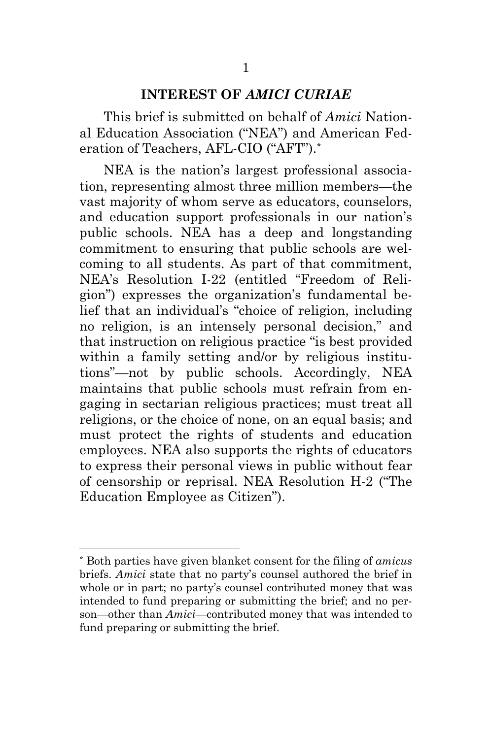#### **INTEREST OF** *AMICI CURIAE*

This brief is submitted on behalf of *Amici* National Education Association ("NEA") and American Federation of Teachers, AFL-CIO ("AFT").\*

NEA is the nation's largest professional association, representing almost three million members—the vast majority of whom serve as educators, counselors, and education support professionals in our nation's public schools. NEA has a deep and longstanding commitment to ensuring that public schools are welcoming to all students. As part of that commitment, NEA's Resolution I-22 (entitled "Freedom of Religion") expresses the organization's fundamental belief that an individual's "choice of religion, including no religion, is an intensely personal decision," and that instruction on religious practice "is best provided within a family setting and/or by religious institutions"—not by public schools. Accordingly, NEA maintains that public schools must refrain from engaging in sectarian religious practices; must treat all religions, or the choice of none, on an equal basis; and must protect the rights of students and education employees. NEA also supports the rights of educators to express their personal views in public without fear of censorship or reprisal. NEA Resolution H-2 ("The Education Employee as Citizen").

<sup>\*</sup> Both parties have given blanket consent for the filing of *amicus* briefs. *Amici* state that no party's counsel authored the brief in whole or in part; no party's counsel contributed money that was intended to fund preparing or submitting the brief; and no person—other than *Amici*—contributed money that was intended to fund preparing or submitting the brief.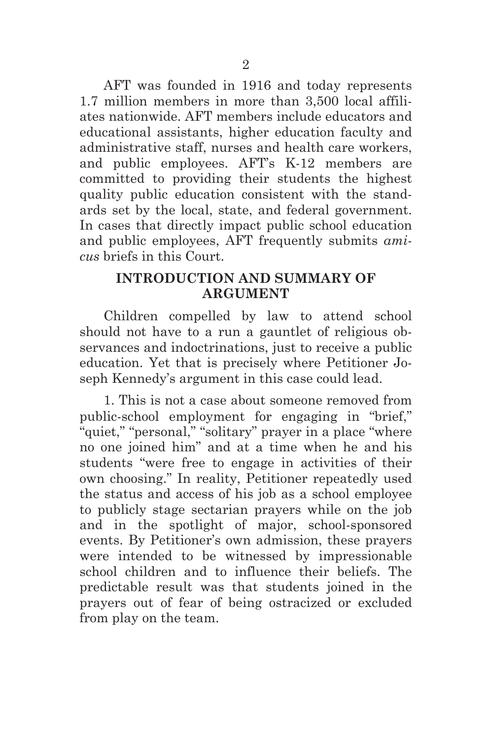AFT was founded in 1916 and today represents 1.7 million members in more than 3,500 local affiliates nationwide. AFT members include educators and educational assistants, higher education faculty and administrative staff, nurses and health care workers, and public employees. AFT's K-12 members are committed to providing their students the highest quality public education consistent with the standards set by the local, state, and federal government. In cases that directly impact public school education and public employees, AFT frequently submits *amicus* briefs in this Court.

## **INTRODUCTION AND SUMMARY OF ARGUMENT**

Children compelled by law to attend school should not have to a run a gauntlet of religious observances and indoctrinations, just to receive a public education. Yet that is precisely where Petitioner Joseph Kennedy's argument in this case could lead.

1. This is not a case about someone removed from public-school employment for engaging in "brief," "quiet," "personal," "solitary" prayer in a place "where no one joined him" and at a time when he and his students "were free to engage in activities of their own choosing." In reality, Petitioner repeatedly used the status and access of his job as a school employee to publicly stage sectarian prayers while on the job and in the spotlight of major, school-sponsored events. By Petitioner's own admission, these prayers were intended to be witnessed by impressionable school children and to influence their beliefs. The predictable result was that students joined in the prayers out of fear of being ostracized or excluded from play on the team.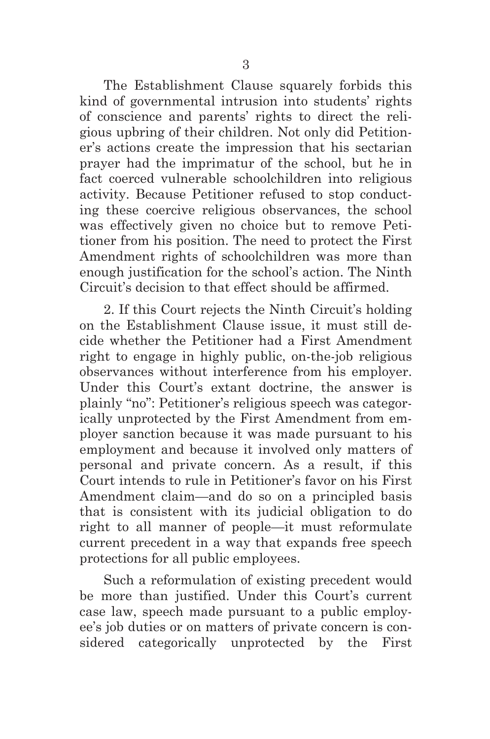The Establishment Clause squarely forbids this kind of governmental intrusion into students' rights of conscience and parents' rights to direct the religious upbring of their children. Not only did Petitioner's actions create the impression that his sectarian prayer had the imprimatur of the school, but he in fact coerced vulnerable schoolchildren into religious activity. Because Petitioner refused to stop conducting these coercive religious observances, the school was effectively given no choice but to remove Petitioner from his position. The need to protect the First Amendment rights of schoolchildren was more than enough justification for the school's action. The Ninth Circuit's decision to that effect should be affirmed.

2. If this Court rejects the Ninth Circuit's holding on the Establishment Clause issue, it must still decide whether the Petitioner had a First Amendment right to engage in highly public, on-the-job religious observances without interference from his employer. Under this Court's extant doctrine, the answer is plainly "no": Petitioner's religious speech was categorically unprotected by the First Amendment from employer sanction because it was made pursuant to his employment and because it involved only matters of personal and private concern. As a result, if this Court intends to rule in Petitioner's favor on his First Amendment claim—and do so on a principled basis that is consistent with its judicial obligation to do right to all manner of people—it must reformulate current precedent in a way that expands free speech protections for all public employees.

Such a reformulation of existing precedent would be more than justified. Under this Court's current case law, speech made pursuant to a public employee's job duties or on matters of private concern is considered categorically unprotected by the First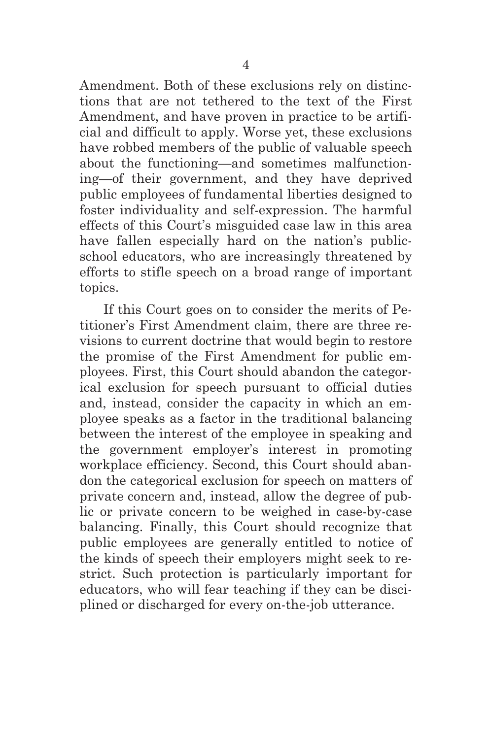Amendment. Both of these exclusions rely on distinctions that are not tethered to the text of the First Amendment, and have proven in practice to be artificial and difficult to apply. Worse yet, these exclusions have robbed members of the public of valuable speech about the functioning—and sometimes malfunctioning—of their government, and they have deprived public employees of fundamental liberties designed to foster individuality and self-expression. The harmful effects of this Court's misguided case law in this area have fallen especially hard on the nation's publicschool educators, who are increasingly threatened by efforts to stifle speech on a broad range of important topics.

If this Court goes on to consider the merits of Petitioner's First Amendment claim, there are three revisions to current doctrine that would begin to restore the promise of the First Amendment for public employees. First, this Court should abandon the categorical exclusion for speech pursuant to official duties and, instead, consider the capacity in which an employee speaks as a factor in the traditional balancing between the interest of the employee in speaking and the government employer's interest in promoting workplace efficiency. Second*,* this Court should abandon the categorical exclusion for speech on matters of private concern and, instead, allow the degree of public or private concern to be weighed in case-by-case balancing. Finally, this Court should recognize that public employees are generally entitled to notice of the kinds of speech their employers might seek to restrict. Such protection is particularly important for educators, who will fear teaching if they can be disciplined or discharged for every on-the-job utterance.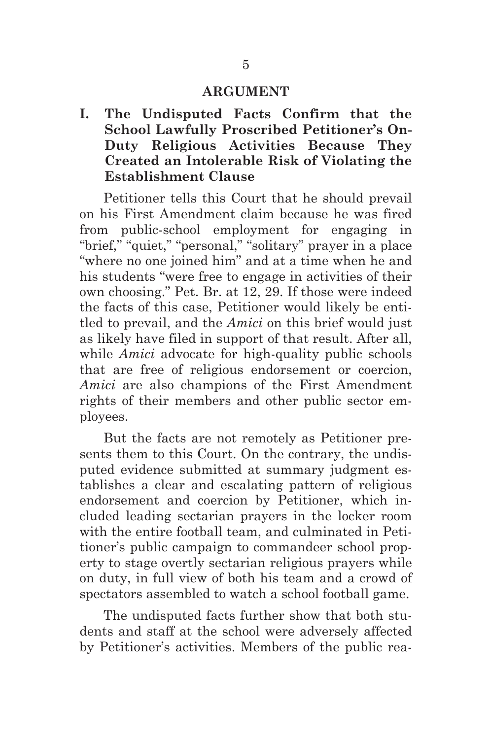#### **ARGUMENT**

**I. The Undisputed Facts Confirm that the School Lawfully Proscribed Petitioner's On-Duty Religious Activities Because They Created an Intolerable Risk of Violating the Establishment Clause** 

Petitioner tells this Court that he should prevail on his First Amendment claim because he was fired from public-school employment for engaging in "brief," "quiet," "personal," "solitary" prayer in a place "where no one joined him" and at a time when he and his students "were free to engage in activities of their own choosing." Pet. Br. at 12, 29. If those were indeed the facts of this case, Petitioner would likely be entitled to prevail, and the *Amici* on this brief would just as likely have filed in support of that result. After all, while *Amici* advocate for high-quality public schools that are free of religious endorsement or coercion, *Amici* are also champions of the First Amendment rights of their members and other public sector employees.

But the facts are not remotely as Petitioner presents them to this Court. On the contrary, the undisputed evidence submitted at summary judgment establishes a clear and escalating pattern of religious endorsement and coercion by Petitioner, which included leading sectarian prayers in the locker room with the entire football team, and culminated in Petitioner's public campaign to commandeer school property to stage overtly sectarian religious prayers while on duty, in full view of both his team and a crowd of spectators assembled to watch a school football game.

The undisputed facts further show that both students and staff at the school were adversely affected by Petitioner's activities. Members of the public rea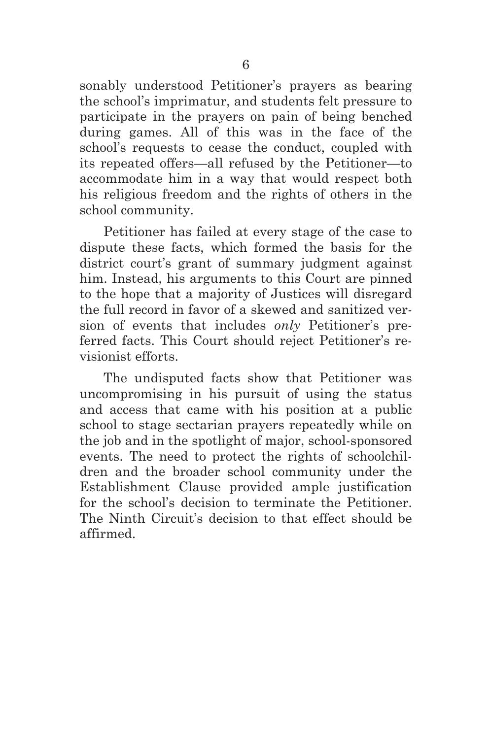sonably understood Petitioner's prayers as bearing the school's imprimatur, and students felt pressure to participate in the prayers on pain of being benched during games. All of this was in the face of the school's requests to cease the conduct, coupled with its repeated offers—all refused by the Petitioner—to accommodate him in a way that would respect both his religious freedom and the rights of others in the school community.

Petitioner has failed at every stage of the case to dispute these facts, which formed the basis for the district court's grant of summary judgment against him. Instead, his arguments to this Court are pinned to the hope that a majority of Justices will disregard the full record in favor of a skewed and sanitized version of events that includes *only* Petitioner's preferred facts. This Court should reject Petitioner's revisionist efforts.

The undisputed facts show that Petitioner was uncompromising in his pursuit of using the status and access that came with his position at a public school to stage sectarian prayers repeatedly while on the job and in the spotlight of major, school-sponsored events. The need to protect the rights of schoolchildren and the broader school community under the Establishment Clause provided ample justification for the school's decision to terminate the Petitioner. The Ninth Circuit's decision to that effect should be affirmed.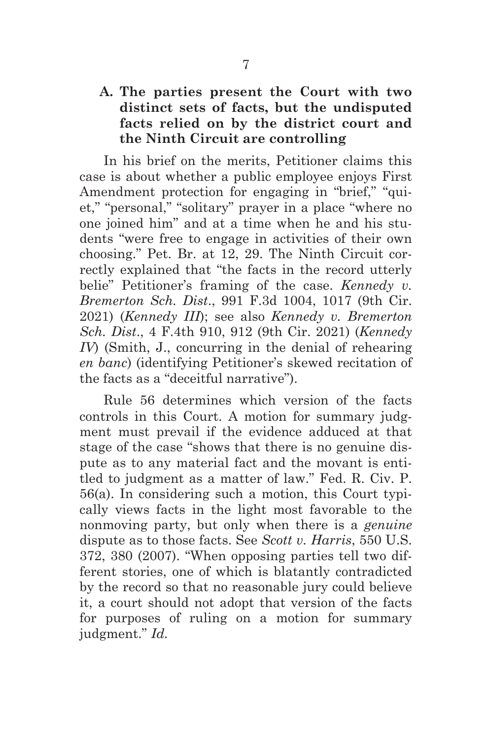## **A. The parties present the Court with two distinct sets of facts, but the undisputed facts relied on by the district court and the Ninth Circuit are controlling**

In his brief on the merits, Petitioner claims this case is about whether a public employee enjoys First Amendment protection for engaging in "brief," "quiet," "personal," "solitary" prayer in a place "where no one joined him" and at a time when he and his students "were free to engage in activities of their own choosing." Pet. Br. at 12, 29. The Ninth Circuit correctly explained that "the facts in the record utterly belie" Petitioner's framing of the case. *Kennedy v. Bremerton Sch. Dist*., 991 F.3d 1004, 1017 (9th Cir. 2021) (*Kennedy III*); see also *Kennedy v. Bremerton Sch. Dist*., 4 F.4th 910, 912 (9th Cir. 2021) (*Kennedy IV*) (Smith, J., concurring in the denial of rehearing *en banc*) (identifying Petitioner's skewed recitation of the facts as a "deceitful narrative").

Rule 56 determines which version of the facts controls in this Court. A motion for summary judgment must prevail if the evidence adduced at that stage of the case "shows that there is no genuine dispute as to any material fact and the movant is entitled to judgment as a matter of law." Fed. R. Civ. P. 56(a). In considering such a motion, this Court typically views facts in the light most favorable to the nonmoving party, but only when there is a *genuine* dispute as to those facts. See *Scott v. Harris*, 550 U.S. 372, 380 (2007). "When opposing parties tell two different stories, one of which is blatantly contradicted by the record so that no reasonable jury could believe it, a court should not adopt that version of the facts for purposes of ruling on a motion for summary judgment." *Id.*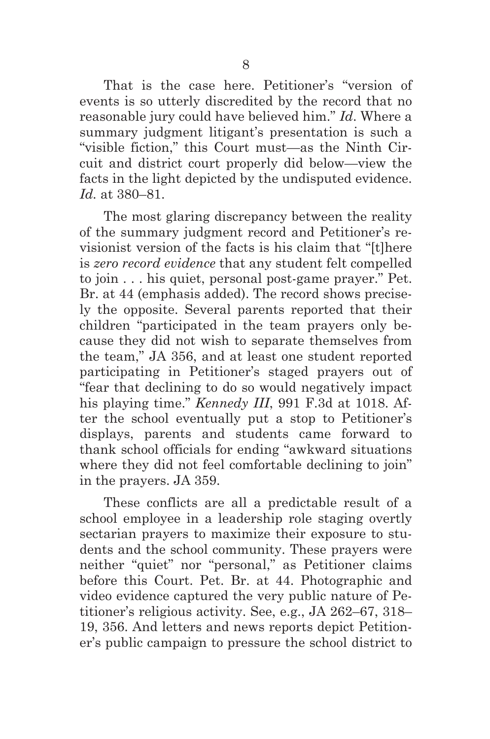That is the case here. Petitioner's "version of events is so utterly discredited by the record that no reasonable jury could have believed him." *Id*. Where a summary judgment litigant's presentation is such a "visible fiction," this Court must—as the Ninth Circuit and district court properly did below—view the facts in the light depicted by the undisputed evidence. *Id.* at 380–81.

The most glaring discrepancy between the reality of the summary judgment record and Petitioner's revisionist version of the facts is his claim that "[t]here is *zero record evidence* that any student felt compelled to join . . . his quiet, personal post-game prayer." Pet. Br. at 44 (emphasis added). The record shows precisely the opposite. Several parents reported that their children "participated in the team prayers only because they did not wish to separate themselves from the team," JA 356, and at least one student reported participating in Petitioner's staged prayers out of "fear that declining to do so would negatively impact his playing time." *Kennedy III*, 991 F.3d at 1018. After the school eventually put a stop to Petitioner's displays, parents and students came forward to thank school officials for ending "awkward situations where they did not feel comfortable declining to join" in the prayers. JA 359.

These conflicts are all a predictable result of a school employee in a leadership role staging overtly sectarian prayers to maximize their exposure to students and the school community. These prayers were neither "quiet" nor "personal," as Petitioner claims before this Court. Pet. Br. at 44. Photographic and video evidence captured the very public nature of Petitioner's religious activity. See, e.g., JA 262–67, 318– 19, 356. And letters and news reports depict Petitioner's public campaign to pressure the school district to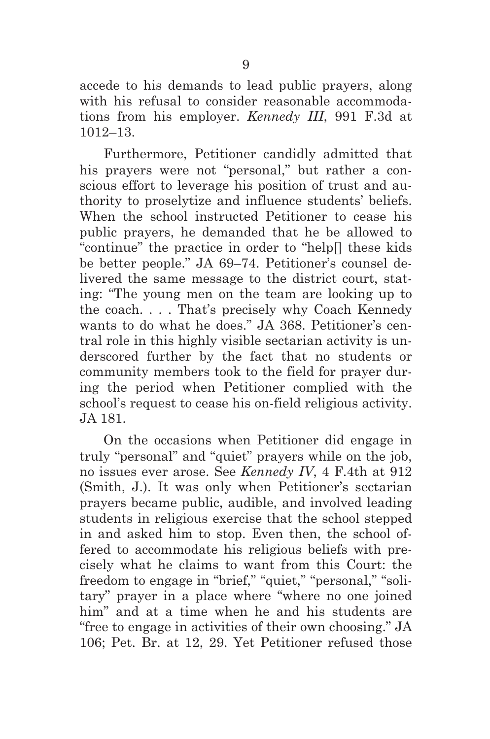accede to his demands to lead public prayers, along with his refusal to consider reasonable accommodations from his employer. *Kennedy III*, 991 F.3d at 1012–13.

Furthermore, Petitioner candidly admitted that his prayers were not "personal," but rather a conscious effort to leverage his position of trust and authority to proselytize and influence students' beliefs. When the school instructed Petitioner to cease his public prayers, he demanded that he be allowed to "continue" the practice in order to "help[] these kids be better people." JA 69–74. Petitioner's counsel delivered the same message to the district court, stating: "The young men on the team are looking up to the coach. . . . That's precisely why Coach Kennedy wants to do what he does." JA 368. Petitioner's central role in this highly visible sectarian activity is underscored further by the fact that no students or community members took to the field for prayer during the period when Petitioner complied with the school's request to cease his on-field religious activity. JA 181.

On the occasions when Petitioner did engage in truly "personal" and "quiet" prayers while on the job, no issues ever arose. See *Kennedy IV*, 4 F.4th at 912 (Smith, J.). It was only when Petitioner's sectarian prayers became public, audible, and involved leading students in religious exercise that the school stepped in and asked him to stop. Even then, the school offered to accommodate his religious beliefs with precisely what he claims to want from this Court: the freedom to engage in "brief," "quiet," "personal," "solitary" prayer in a place where "where no one joined him" and at a time when he and his students are "free to engage in activities of their own choosing." JA 106; Pet. Br. at 12, 29. Yet Petitioner refused those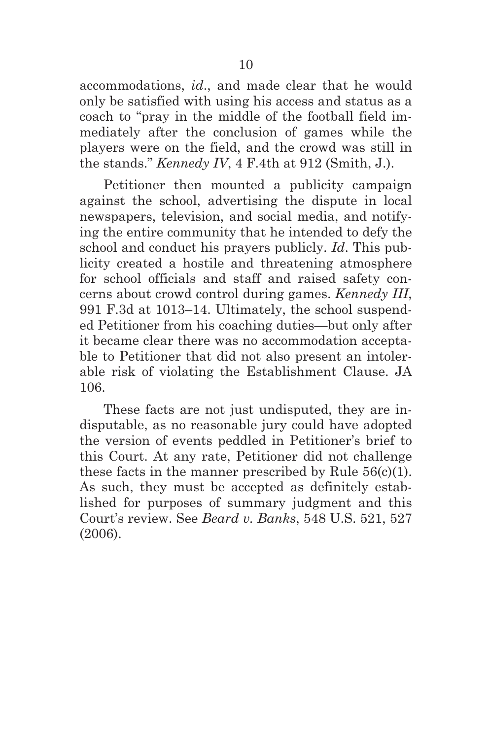accommodations, *id*., and made clear that he would only be satisfied with using his access and status as a coach to "pray in the middle of the football field immediately after the conclusion of games while the players were on the field, and the crowd was still in the stands." *Kennedy IV*, 4 F.4th at 912 (Smith, J.).

Petitioner then mounted a publicity campaign against the school, advertising the dispute in local newspapers, television, and social media, and notifying the entire community that he intended to defy the school and conduct his prayers publicly. *Id*. This publicity created a hostile and threatening atmosphere for school officials and staff and raised safety concerns about crowd control during games. *Kennedy III*, 991 F.3d at 1013–14. Ultimately, the school suspended Petitioner from his coaching duties—but only after it became clear there was no accommodation acceptable to Petitioner that did not also present an intolerable risk of violating the Establishment Clause. JA 106.

These facts are not just undisputed, they are indisputable, as no reasonable jury could have adopted the version of events peddled in Petitioner's brief to this Court. At any rate, Petitioner did not challenge these facts in the manner prescribed by Rule  $56(c)(1)$ . As such, they must be accepted as definitely established for purposes of summary judgment and this Court's review. See *Beard v. Banks*, 548 U.S. 521, 527 (2006).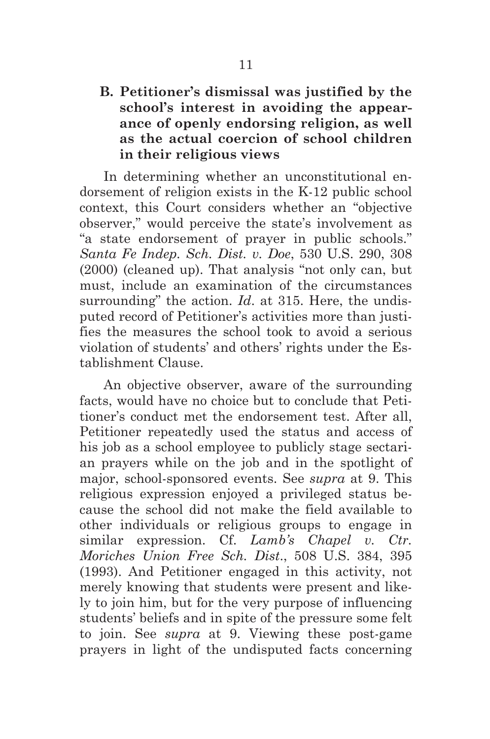## **B. Petitioner's dismissal was justified by the school's interest in avoiding the appearance of openly endorsing religion, as well as the actual coercion of school children in their religious views**

In determining whether an unconstitutional endorsement of religion exists in the K-12 public school context, this Court considers whether an "objective observer," would perceive the state's involvement as "a state endorsement of prayer in public schools." *Santa Fe Indep. Sch. Dist. v. Doe*, 530 U.S. 290, 308 (2000) (cleaned up). That analysis "not only can, but must, include an examination of the circumstances surrounding" the action. *Id*. at 315. Here, the undisputed record of Petitioner's activities more than justifies the measures the school took to avoid a serious violation of students' and others' rights under the Establishment Clause.

An objective observer, aware of the surrounding facts, would have no choice but to conclude that Petitioner's conduct met the endorsement test. After all, Petitioner repeatedly used the status and access of his job as a school employee to publicly stage sectarian prayers while on the job and in the spotlight of major, school-sponsored events. See *supra* at 9. This religious expression enjoyed a privileged status because the school did not make the field available to other individuals or religious groups to engage in similar expression. Cf. *Lamb's Chapel v. Ctr. Moriches Union Free Sch. Dist*., 508 U.S. 384, 395 (1993). And Petitioner engaged in this activity, not merely knowing that students were present and likely to join him, but for the very purpose of influencing students' beliefs and in spite of the pressure some felt to join. See *supra* at 9. Viewing these post-game prayers in light of the undisputed facts concerning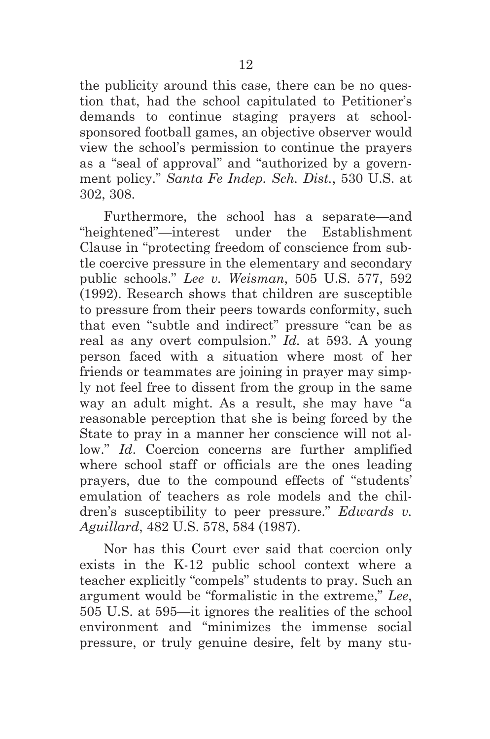the publicity around this case, there can be no question that, had the school capitulated to Petitioner's demands to continue staging prayers at schoolsponsored football games, an objective observer would view the school's permission to continue the prayers as a "seal of approval" and "authorized by a government policy." *Santa Fe Indep. Sch. Dist.*, 530 U.S. at 302, 308.

Furthermore, the school has a separate—and "heightened"—interest under the Establishment Clause in "protecting freedom of conscience from subtle coercive pressure in the elementary and secondary public schools." *Lee v. Weisman*, 505 U.S. 577, 592 (1992). Research shows that children are susceptible to pressure from their peers towards conformity, such that even "subtle and indirect" pressure "can be as real as any overt compulsion." *Id.* at 593. A young person faced with a situation where most of her friends or teammates are joining in prayer may simply not feel free to dissent from the group in the same way an adult might. As a result, she may have "a reasonable perception that she is being forced by the State to pray in a manner her conscience will not allow." *Id*. Coercion concerns are further amplified where school staff or officials are the ones leading prayers, due to the compound effects of "students' emulation of teachers as role models and the children's susceptibility to peer pressure." *Edwards v. Aguillard*, 482 U.S. 578, 584 (1987).

Nor has this Court ever said that coercion only exists in the K-12 public school context where a teacher explicitly "compels" students to pray. Such an argument would be "formalistic in the extreme," *Lee*, 505 U.S. at 595—it ignores the realities of the school environment and "minimizes the immense social pressure, or truly genuine desire, felt by many stu-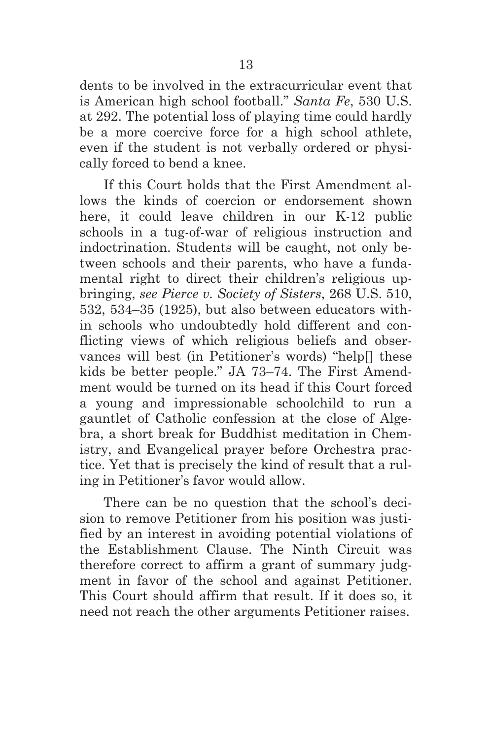dents to be involved in the extracurricular event that is American high school football." *Santa Fe*, 530 U.S. at 292. The potential loss of playing time could hardly be a more coercive force for a high school athlete, even if the student is not verbally ordered or physically forced to bend a knee.

If this Court holds that the First Amendment allows the kinds of coercion or endorsement shown here, it could leave children in our K-12 public schools in a tug-of-war of religious instruction and indoctrination. Students will be caught, not only between schools and their parents, who have a fundamental right to direct their children's religious upbringing, *see Pierce v. Society of Sisters*, 268 U.S. 510, 532, 534–35 (1925), but also between educators within schools who undoubtedly hold different and conflicting views of which religious beliefs and observances will best (in Petitioner's words) "help[] these kids be better people." JA 73–74. The First Amendment would be turned on its head if this Court forced a young and impressionable schoolchild to run a gauntlet of Catholic confession at the close of Algebra, a short break for Buddhist meditation in Chemistry, and Evangelical prayer before Orchestra practice. Yet that is precisely the kind of result that a ruling in Petitioner's favor would allow.

There can be no question that the school's decision to remove Petitioner from his position was justified by an interest in avoiding potential violations of the Establishment Clause. The Ninth Circuit was therefore correct to affirm a grant of summary judgment in favor of the school and against Petitioner. This Court should affirm that result. If it does so, it need not reach the other arguments Petitioner raises.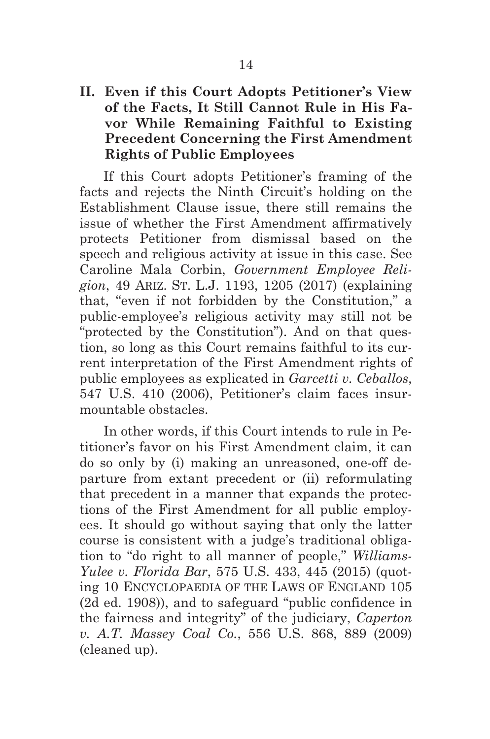## **II. Even if this Court Adopts Petitioner's View of the Facts, It Still Cannot Rule in His Favor While Remaining Faithful to Existing Precedent Concerning the First Amendment Rights of Public Employees**

If this Court adopts Petitioner's framing of the facts and rejects the Ninth Circuit's holding on the Establishment Clause issue, there still remains the issue of whether the First Amendment affirmatively protects Petitioner from dismissal based on the speech and religious activity at issue in this case. See Caroline Mala Corbin, *Government Employee Religion*, 49 ARIZ. ST. L.J. 1193, 1205 (2017) (explaining that, "even if not forbidden by the Constitution," a public-employee's religious activity may still not be "protected by the Constitution"). And on that question, so long as this Court remains faithful to its current interpretation of the First Amendment rights of public employees as explicated in *Garcetti v. Ceballos*, 547 U.S. 410 (2006), Petitioner's claim faces insurmountable obstacles.

In other words, if this Court intends to rule in Petitioner's favor on his First Amendment claim, it can do so only by (i) making an unreasoned, one-off departure from extant precedent or (ii) reformulating that precedent in a manner that expands the protections of the First Amendment for all public employees. It should go without saying that only the latter course is consistent with a judge's traditional obligation to "do right to all manner of people," *Williams-Yulee v. Florida Bar*, 575 U.S. 433, 445 (2015) (quoting 10 ENCYCLOPAEDIA OF THE LAWS OF ENGLAND 105 (2d ed. 1908)), and to safeguard "public confidence in the fairness and integrity" of the judiciary, *Caperton v. A.T. Massey Coal Co.*, 556 U.S. 868, 889 (2009) (cleaned up).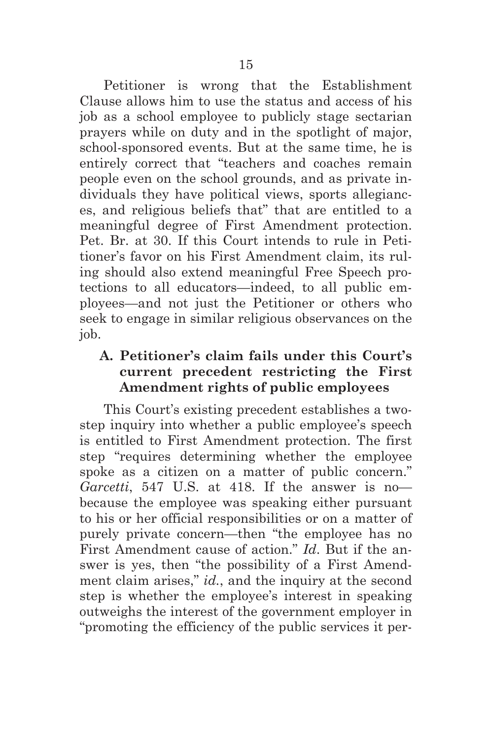Petitioner is wrong that the Establishment Clause allows him to use the status and access of his job as a school employee to publicly stage sectarian prayers while on duty and in the spotlight of major, school-sponsored events. But at the same time, he is entirely correct that "teachers and coaches remain people even on the school grounds, and as private individuals they have political views, sports allegiances, and religious beliefs that" that are entitled to a meaningful degree of First Amendment protection. Pet. Br. at 30. If this Court intends to rule in Petitioner's favor on his First Amendment claim, its ruling should also extend meaningful Free Speech protections to all educators—indeed, to all public employees—and not just the Petitioner or others who seek to engage in similar religious observances on the job.

## **A. Petitioner's claim fails under this Court's current precedent restricting the First Amendment rights of public employees**

This Court's existing precedent establishes a twostep inquiry into whether a public employee's speech is entitled to First Amendment protection. The first step "requires determining whether the employee spoke as a citizen on a matter of public concern." *Garcetti*, 547 U.S. at 418. If the answer is no because the employee was speaking either pursuant to his or her official responsibilities or on a matter of purely private concern—then "the employee has no First Amendment cause of action." *Id*. But if the answer is yes, then "the possibility of a First Amendment claim arises," *id.*, and the inquiry at the second step is whether the employee's interest in speaking outweighs the interest of the government employer in "promoting the efficiency of the public services it per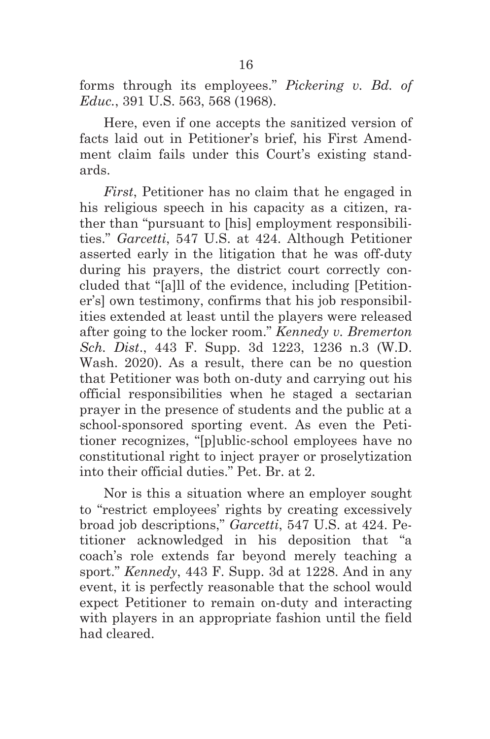forms through its employees." *Pickering v. Bd. of Educ.*, 391 U.S. 563, 568 (1968).

Here, even if one accepts the sanitized version of facts laid out in Petitioner's brief, his First Amendment claim fails under this Court's existing standards.

*First*, Petitioner has no claim that he engaged in his religious speech in his capacity as a citizen, rather than "pursuant to [his] employment responsibilities." *Garcetti*, 547 U.S. at 424. Although Petitioner asserted early in the litigation that he was off-duty during his prayers, the district court correctly concluded that "[a]ll of the evidence, including [Petitioner's] own testimony, confirms that his job responsibilities extended at least until the players were released after going to the locker room." *Kennedy v. Bremerton Sch. Dist*., 443 F. Supp. 3d 1223, 1236 n.3 (W.D. Wash. 2020). As a result, there can be no question that Petitioner was both on-duty and carrying out his official responsibilities when he staged a sectarian prayer in the presence of students and the public at a school-sponsored sporting event. As even the Petitioner recognizes, "[p]ublic-school employees have no constitutional right to inject prayer or proselytization into their official duties." Pet. Br. at 2.

Nor is this a situation where an employer sought to "restrict employees' rights by creating excessively broad job descriptions," *Garcetti*, 547 U.S. at 424. Petitioner acknowledged in his deposition that "a coach's role extends far beyond merely teaching a sport." *Kennedy*, 443 F. Supp. 3d at 1228. And in any event, it is perfectly reasonable that the school would expect Petitioner to remain on-duty and interacting with players in an appropriate fashion until the field had cleared.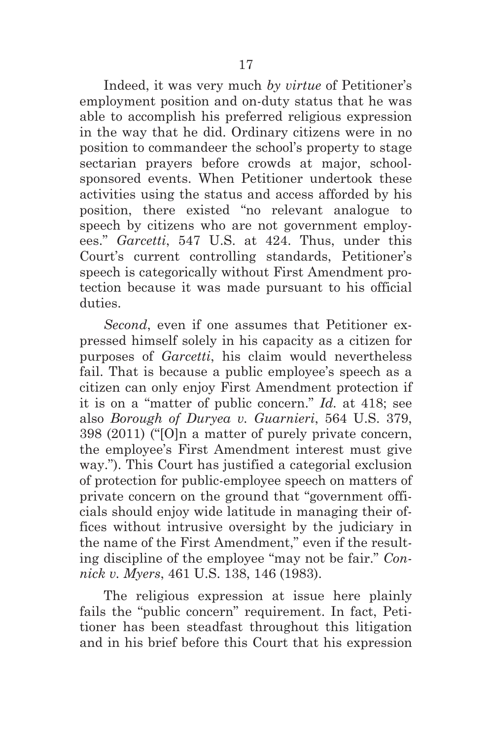Indeed, it was very much *by virtue* of Petitioner's employment position and on-duty status that he was able to accomplish his preferred religious expression in the way that he did. Ordinary citizens were in no position to commandeer the school's property to stage sectarian prayers before crowds at major, schoolsponsored events. When Petitioner undertook these activities using the status and access afforded by his position, there existed "no relevant analogue to speech by citizens who are not government employees." *Garcetti*, 547 U.S. at 424. Thus, under this Court's current controlling standards, Petitioner's speech is categorically without First Amendment protection because it was made pursuant to his official duties.

*Second*, even if one assumes that Petitioner expressed himself solely in his capacity as a citizen for purposes of *Garcetti*, his claim would nevertheless fail. That is because a public employee's speech as a citizen can only enjoy First Amendment protection if it is on a "matter of public concern." *Id.* at 418; see also *Borough of Duryea v. Guarnieri*, 564 U.S. 379, 398 (2011) ("[O]n a matter of purely private concern, the employee's First Amendment interest must give way."). This Court has justified a categorial exclusion of protection for public-employee speech on matters of private concern on the ground that "government officials should enjoy wide latitude in managing their offices without intrusive oversight by the judiciary in the name of the First Amendment," even if the resulting discipline of the employee "may not be fair." *Connick v. Myers*, 461 U.S. 138, 146 (1983).

The religious expression at issue here plainly fails the "public concern" requirement. In fact, Petitioner has been steadfast throughout this litigation and in his brief before this Court that his expression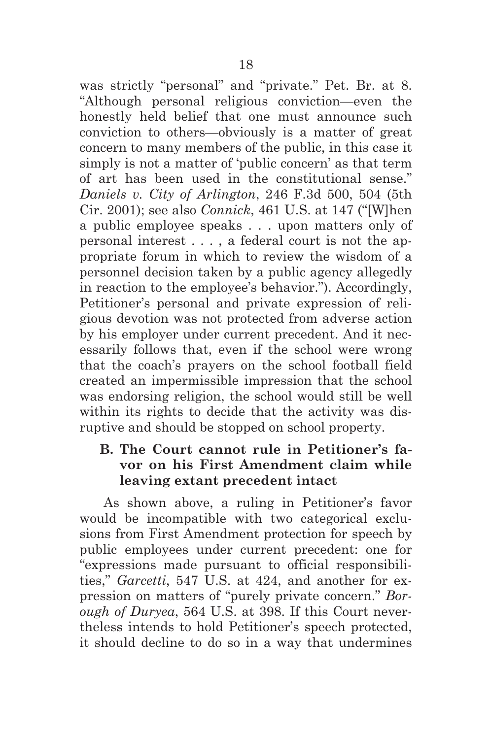was strictly "personal" and "private." Pet. Br. at 8. "Although personal religious conviction—even the honestly held belief that one must announce such conviction to others—obviously is a matter of great concern to many members of the public, in this case it simply is not a matter of 'public concern' as that term of art has been used in the constitutional sense." *Daniels v. City of Arlington*, 246 F.3d 500, 504 (5th Cir. 2001); see also *Connick*, 461 U.S. at 147 ("[W]hen a public employee speaks . . . upon matters only of personal interest . . . , a federal court is not the appropriate forum in which to review the wisdom of a personnel decision taken by a public agency allegedly in reaction to the employee's behavior."). Accordingly, Petitioner's personal and private expression of religious devotion was not protected from adverse action by his employer under current precedent. And it necessarily follows that, even if the school were wrong that the coach's prayers on the school football field created an impermissible impression that the school was endorsing religion, the school would still be well within its rights to decide that the activity was disruptive and should be stopped on school property.

## **B. The Court cannot rule in Petitioner's favor on his First Amendment claim while leaving extant precedent intact**

As shown above, a ruling in Petitioner's favor would be incompatible with two categorical exclusions from First Amendment protection for speech by public employees under current precedent: one for "expressions made pursuant to official responsibilities," *Garcetti*, 547 U.S. at 424, and another for expression on matters of "purely private concern." *Borough of Duryea*, 564 U.S. at 398. If this Court nevertheless intends to hold Petitioner's speech protected, it should decline to do so in a way that undermines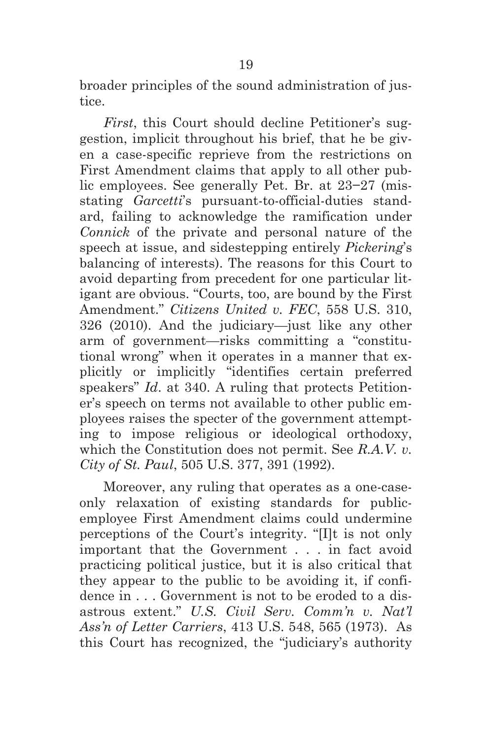broader principles of the sound administration of justice.

*First*, this Court should decline Petitioner's suggestion, implicit throughout his brief, that he be given a case-specific reprieve from the restrictions on First Amendment claims that apply to all other public employees. See generally Pet. Br. at 23−27 (misstating *Garcetti*'s pursuant-to-official-duties standard, failing to acknowledge the ramification under *Connick* of the private and personal nature of the speech at issue, and sidestepping entirely *Pickering*'s balancing of interests). The reasons for this Court to avoid departing from precedent for one particular litigant are obvious. "Courts, too, are bound by the First Amendment." *Citizens United v. FEC*, 558 U.S. 310, 326 (2010). And the judiciary—just like any other arm of government—risks committing a "constitutional wrong" when it operates in a manner that explicitly or implicitly "identifies certain preferred speakers" *Id.* at 340. A ruling that protects Petitioner's speech on terms not available to other public employees raises the specter of the government attempting to impose religious or ideological orthodoxy, which the Constitution does not permit. See *R.A.V. v. City of St. Paul*, 505 U.S. 377, 391 (1992).

Moreover, any ruling that operates as a one-caseonly relaxation of existing standards for publicemployee First Amendment claims could undermine perceptions of the Court's integrity. "[I]t is not only important that the Government . . . in fact avoid practicing political justice, but it is also critical that they appear to the public to be avoiding it, if confidence in . . . Government is not to be eroded to a disastrous extent." *U.S. Civil Serv. Comm'n v. Nat'l Ass'n of Letter Carriers*, 413 U.S. 548, 565 (1973). As this Court has recognized, the "judiciary's authority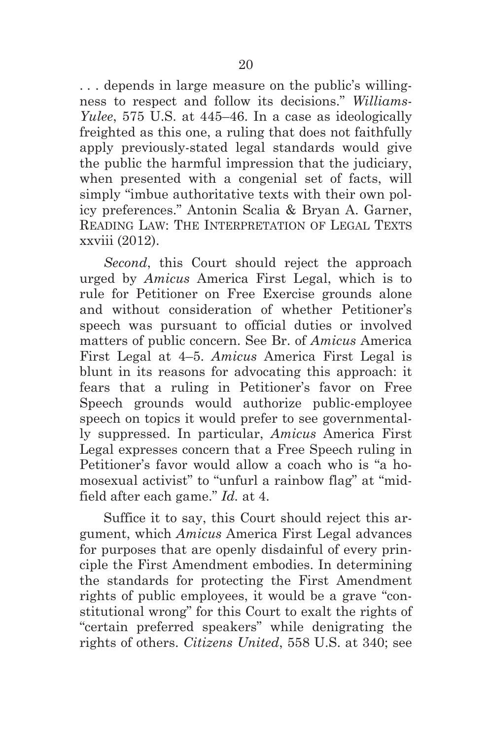. . . depends in large measure on the public's willingness to respect and follow its decisions." *Williams-Yulee*, 575 U.S. at 445–46. In a case as ideologically freighted as this one, a ruling that does not faithfully apply previously-stated legal standards would give the public the harmful impression that the judiciary, when presented with a congenial set of facts, will simply "imbue authoritative texts with their own policy preferences." Antonin Scalia & Bryan A. Garner, READING LAW: THE INTERPRETATION OF LEGAL TEXTS xxviii (2012).

*Second*, this Court should reject the approach urged by *Amicus* America First Legal, which is to rule for Petitioner on Free Exercise grounds alone and without consideration of whether Petitioner's speech was pursuant to official duties or involved matters of public concern. See Br. of *Amicus* America First Legal at 4–5. *Amicus* America First Legal is blunt in its reasons for advocating this approach: it fears that a ruling in Petitioner's favor on Free Speech grounds would authorize public-employee speech on topics it would prefer to see governmentally suppressed. In particular, *Amicus* America First Legal expresses concern that a Free Speech ruling in Petitioner's favor would allow a coach who is "a homosexual activist" to "unfurl a rainbow flag" at "midfield after each game." *Id.* at 4.

Suffice it to say, this Court should reject this argument, which *Amicus* America First Legal advances for purposes that are openly disdainful of every principle the First Amendment embodies. In determining the standards for protecting the First Amendment rights of public employees, it would be a grave "constitutional wrong" for this Court to exalt the rights of "certain preferred speakers" while denigrating the rights of others. *Citizens United*, 558 U.S. at 340; see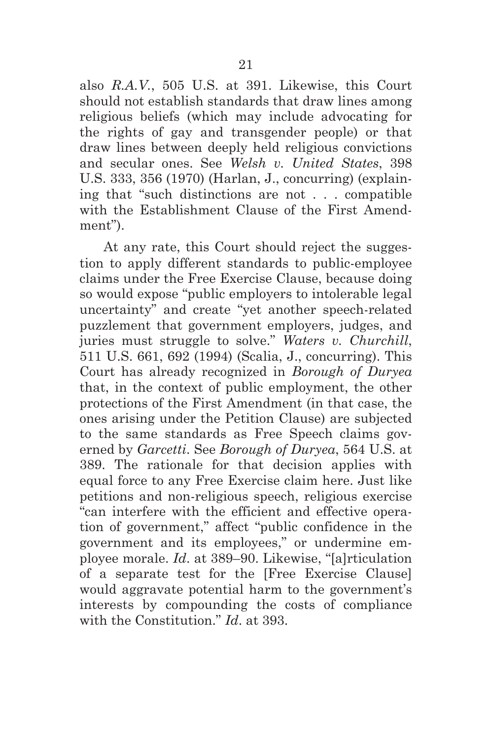also *R.A.V.*, 505 U.S. at 391. Likewise, this Court should not establish standards that draw lines among religious beliefs (which may include advocating for the rights of gay and transgender people) or that draw lines between deeply held religious convictions and secular ones. See *Welsh v. United States*, 398 U.S. 333, 356 (1970) (Harlan, J., concurring) (explaining that "such distinctions are not . . . compatible with the Establishment Clause of the First Amendment").

At any rate, this Court should reject the suggestion to apply different standards to public-employee claims under the Free Exercise Clause, because doing so would expose "public employers to intolerable legal uncertainty" and create "yet another speech-related puzzlement that government employers, judges, and juries must struggle to solve." *Waters v. Churchill*, 511 U.S. 661, 692 (1994) (Scalia, J., concurring). This Court has already recognized in *Borough of Duryea* that, in the context of public employment, the other protections of the First Amendment (in that case, the ones arising under the Petition Clause) are subjected to the same standards as Free Speech claims governed by *Garcetti*. See *Borough of Duryea*, 564 U.S. at 389. The rationale for that decision applies with equal force to any Free Exercise claim here. Just like petitions and non-religious speech, religious exercise "can interfere with the efficient and effective operation of government," affect "public confidence in the government and its employees," or undermine employee morale. *Id*. at 389–90. Likewise, "[a]rticulation of a separate test for the [Free Exercise Clause] would aggravate potential harm to the government's interests by compounding the costs of compliance with the Constitution." *Id*. at 393.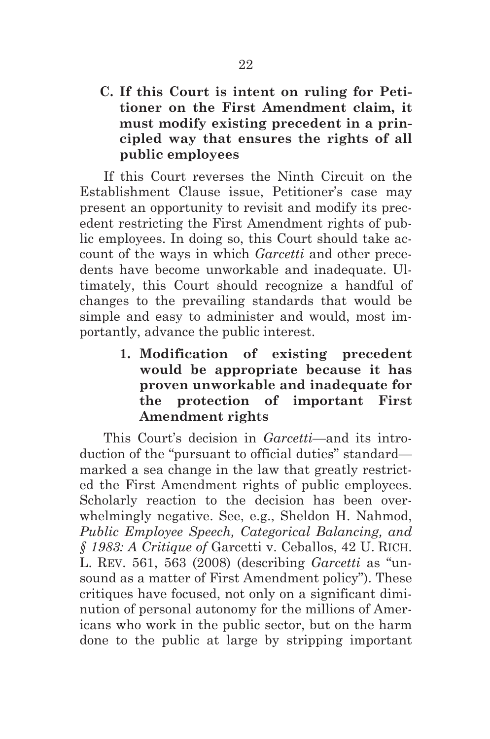**C. If this Court is intent on ruling for Petitioner on the First Amendment claim, it must modify existing precedent in a principled way that ensures the rights of all public employees**

If this Court reverses the Ninth Circuit on the Establishment Clause issue, Petitioner's case may present an opportunity to revisit and modify its precedent restricting the First Amendment rights of public employees. In doing so, this Court should take account of the ways in which *Garcetti* and other precedents have become unworkable and inadequate. Ultimately, this Court should recognize a handful of changes to the prevailing standards that would be simple and easy to administer and would, most importantly, advance the public interest.

> **1. Modification of existing precedent would be appropriate because it has proven unworkable and inadequate for the protection of important First Amendment rights**

This Court's decision in *Garcetti*—and its introduction of the "pursuant to official duties" standard marked a sea change in the law that greatly restricted the First Amendment rights of public employees. Scholarly reaction to the decision has been overwhelmingly negative. See, e.g., Sheldon H. Nahmod, *Public Employee Speech, Categorical Balancing, and § 1983: A Critique of* Garcetti v. Ceballos, 42 U. RICH. L. REV. 561, 563 (2008) (describing *Garcetti* as "unsound as a matter of First Amendment policy"). These critiques have focused, not only on a significant diminution of personal autonomy for the millions of Americans who work in the public sector, but on the harm done to the public at large by stripping important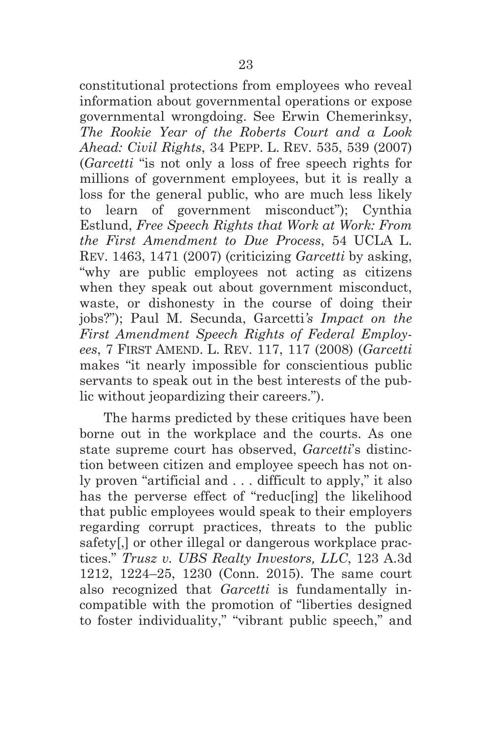constitutional protections from employees who reveal information about governmental operations or expose governmental wrongdoing. See Erwin Chemerinksy, *The Rookie Year of the Roberts Court and a Look Ahead: Civil Rights*, 34 PEPP. L. REV. 535, 539 (2007) (*Garcetti* "is not only a loss of free speech rights for millions of government employees, but it is really a loss for the general public, who are much less likely to learn of government misconduct"); Cynthia Estlund, *Free Speech Rights that Work at Work: From the First Amendment to Due Process*, 54 UCLA L. REV. 1463, 1471 (2007) (criticizing *Garcetti* by asking, "why are public employees not acting as citizens when they speak out about government misconduct, waste, or dishonesty in the course of doing their jobs?"); Paul M. Secunda, Garcetti*'s Impact on the First Amendment Speech Rights of Federal Employees*, 7 FIRST AMEND. L. REV. 117, 117 (2008) (*Garcetti* makes "it nearly impossible for conscientious public servants to speak out in the best interests of the public without jeopardizing their careers.").

The harms predicted by these critiques have been borne out in the workplace and the courts. As one state supreme court has observed, *Garcetti*'s distinction between citizen and employee speech has not only proven "artificial and . . . difficult to apply," it also has the perverse effect of "reduc[ing] the likelihood that public employees would speak to their employers regarding corrupt practices, threats to the public safety[,] or other illegal or dangerous workplace practices." *Trusz v. UBS Realty Investors, LLC*, 123 A.3d 1212, 1224–25, 1230 (Conn. 2015). The same court also recognized that *Garcetti* is fundamentally incompatible with the promotion of "liberties designed to foster individuality," "vibrant public speech," and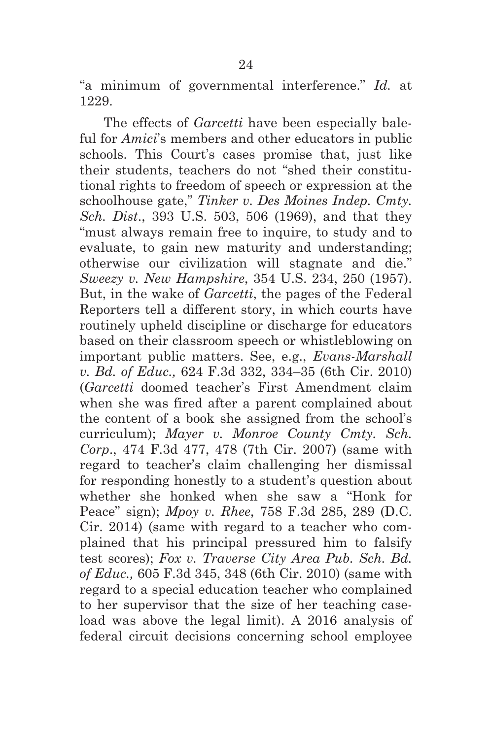"a minimum of governmental interference." *Id.* at 1229.

The effects of *Garcetti* have been especially baleful for *Amici*'s members and other educators in public schools. This Court's cases promise that, just like their students, teachers do not "shed their constitutional rights to freedom of speech or expression at the schoolhouse gate," *Tinker v. Des Moines Indep. Cmty. Sch. Dist*., 393 U.S. 503, 506 (1969), and that they "must always remain free to inquire, to study and to evaluate, to gain new maturity and understanding; otherwise our civilization will stagnate and die." *Sweezy v. New Hampshire*, 354 U.S. 234, 250 (1957). But, in the wake of *Garcetti*, the pages of the Federal Reporters tell a different story, in which courts have routinely upheld discipline or discharge for educators based on their classroom speech or whistleblowing on important public matters. See, e.g., *Evans-Marshall v. Bd. of Educ.,* 624 F.3d 332, 334–35 (6th Cir. 2010) (*Garcetti* doomed teacher's First Amendment claim when she was fired after a parent complained about the content of a book she assigned from the school's curriculum); *Mayer v. Monroe County Cmty. Sch. Corp*., 474 F.3d 477, 478 (7th Cir. 2007) (same with regard to teacher's claim challenging her dismissal for responding honestly to a student's question about whether she honked when she saw a "Honk for Peace" sign); *Mpoy v. Rhee*, 758 F.3d 285, 289 (D.C. Cir. 2014) (same with regard to a teacher who complained that his principal pressured him to falsify test scores); *Fox v. Traverse City Area Pub. Sch. Bd. of Educ.,* 605 F.3d 345, 348 (6th Cir. 2010) (same with regard to a special education teacher who complained to her supervisor that the size of her teaching caseload was above the legal limit). A 2016 analysis of federal circuit decisions concerning school employee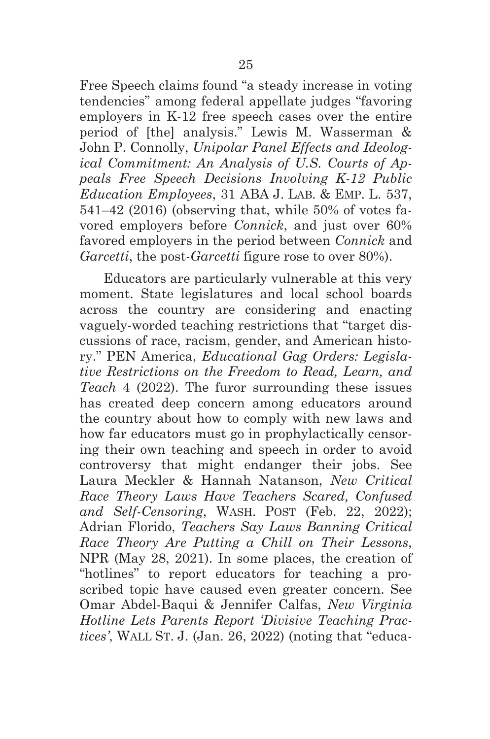Free Speech claims found "a steady increase in voting tendencies" among federal appellate judges "favoring employers in K-12 free speech cases over the entire period of [the] analysis." Lewis M. Wasserman & John P. Connolly, *Unipolar Panel Effects and Ideological Commitment: An Analysis of U.S. Courts of Appeals Free Speech Decisions Involving K-12 Public Education Employees*, 31 ABA J. LAB. & EMP. L. 537, 541–42 (2016) (observing that, while 50% of votes favored employers before *Connick*, and just over 60% favored employers in the period between *Connick* and *Garcetti*, the post-*Garcetti* figure rose to over 80%).

Educators are particularly vulnerable at this very moment. State legislatures and local school boards across the country are considering and enacting vaguely-worded teaching restrictions that "target discussions of race, racism, gender, and American history." PEN America, *Educational Gag Orders: Legislative Restrictions on the Freedom to Read, Learn, and Teach* 4 (2022). The furor surrounding these issues has created deep concern among educators around the country about how to comply with new laws and how far educators must go in prophylactically censoring their own teaching and speech in order to avoid controversy that might endanger their jobs. See Laura Meckler & Hannah Natanson, *New Critical Race Theory Laws Have Teachers Scared, Confused and Self-Censoring*, WASH. POST (Feb. 22, 2022); Adrian Florido, *Teachers Say Laws Banning Critical Race Theory Are Putting a Chill on Their Lessons*, NPR (May 28, 2021). In some places, the creation of "hotlines" to report educators for teaching a proscribed topic have caused even greater concern. See Omar Abdel-Baqui & Jennifer Calfas, *New Virginia Hotline Lets Parents Report 'Divisive Teaching Practices'*, WALL ST. J. (Jan. 26, 2022) (noting that "educa-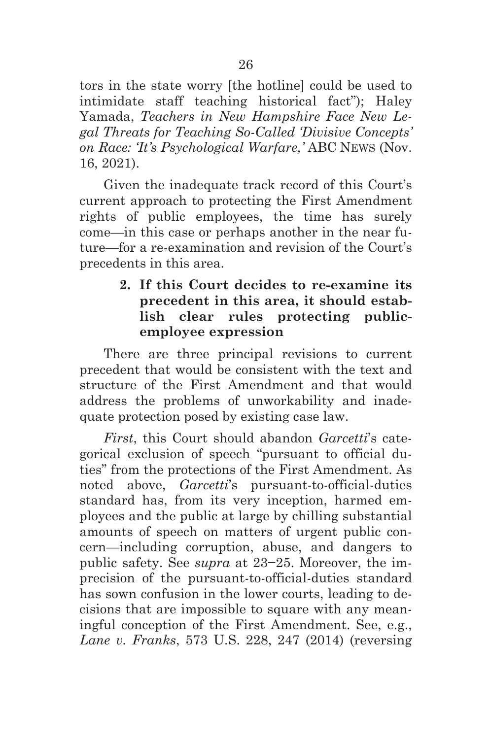tors in the state worry [the hotline] could be used to intimidate staff teaching historical fact"); Haley Yamada, *Teachers in New Hampshire Face New Legal Threats for Teaching So-Called 'Divisive Concepts' on Race: 'It's Psychological Warfare,'* ABC NEWS (Nov. 16, 2021).

Given the inadequate track record of this Court's current approach to protecting the First Amendment rights of public employees, the time has surely come—in this case or perhaps another in the near future—for a re-examination and revision of the Court's precedents in this area.

## **2. If this Court decides to re-examine its precedent in this area, it should establish clear rules protecting publicemployee expression**

There are three principal revisions to current precedent that would be consistent with the text and structure of the First Amendment and that would address the problems of unworkability and inadequate protection posed by existing case law.

*First*, this Court should abandon *Garcetti*'s categorical exclusion of speech "pursuant to official duties" from the protections of the First Amendment. As noted above, *Garcetti*'s pursuant-to-official-duties standard has, from its very inception, harmed employees and the public at large by chilling substantial amounts of speech on matters of urgent public concern—including corruption, abuse, and dangers to public safety. See *supra* at 23−25. Moreover, the imprecision of the pursuant-to-official-duties standard has sown confusion in the lower courts, leading to decisions that are impossible to square with any meaningful conception of the First Amendment. See, e.g., *Lane v. Franks*, 573 U.S. 228, 247 (2014) (reversing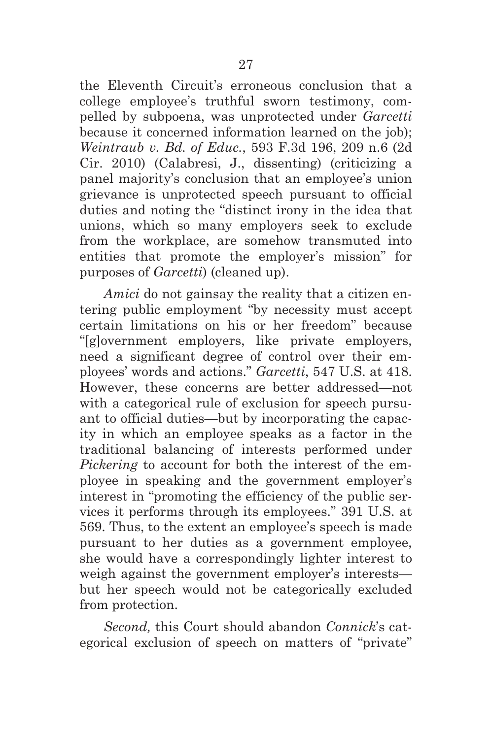the Eleventh Circuit's erroneous conclusion that a college employee's truthful sworn testimony, compelled by subpoena, was unprotected under *Garcetti* because it concerned information learned on the job); *Weintraub v. Bd. of Educ.*, 593 F.3d 196, 209 n.6 (2d Cir. 2010) (Calabresi, J., dissenting) (criticizing a panel majority's conclusion that an employee's union grievance is unprotected speech pursuant to official duties and noting the "distinct irony in the idea that unions, which so many employers seek to exclude from the workplace, are somehow transmuted into entities that promote the employer's mission" for purposes of *Garcetti*) (cleaned up).

*Amici* do not gainsay the reality that a citizen entering public employment "by necessity must accept certain limitations on his or her freedom" because "[g]overnment employers, like private employers, need a significant degree of control over their employees' words and actions." *Garcetti*, 547 U.S. at 418. However, these concerns are better addressed—not with a categorical rule of exclusion for speech pursuant to official duties—but by incorporating the capacity in which an employee speaks as a factor in the traditional balancing of interests performed under *Pickering* to account for both the interest of the employee in speaking and the government employer's interest in "promoting the efficiency of the public services it performs through its employees." 391 U.S. at 569. Thus, to the extent an employee's speech is made pursuant to her duties as a government employee, she would have a correspondingly lighter interest to weigh against the government employer's interests but her speech would not be categorically excluded from protection.

*Second,* this Court should abandon *Connick*'s categorical exclusion of speech on matters of "private"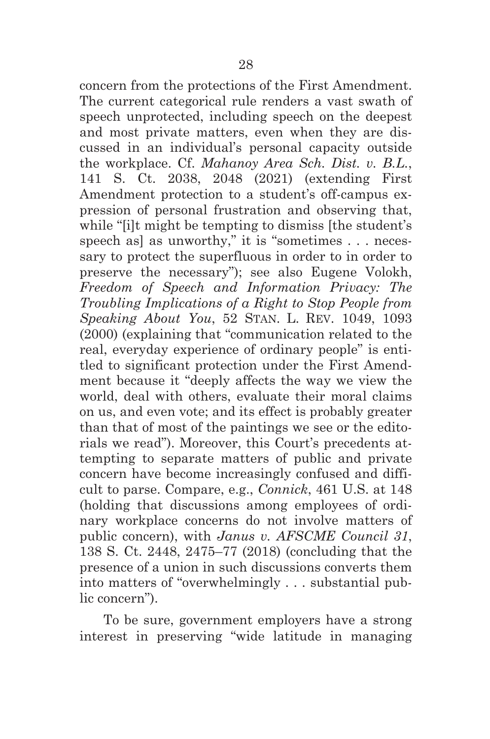concern from the protections of the First Amendment. The current categorical rule renders a vast swath of speech unprotected, including speech on the deepest and most private matters, even when they are discussed in an individual's personal capacity outside the workplace. Cf. *Mahanoy Area Sch. Dist. v. B.L.*, 141 S. Ct. 2038, 2048 (2021) (extending First Amendment protection to a student's off-campus expression of personal frustration and observing that, while "[i]t might be tempting to dismiss [the student's speech as] as unworthy," it is "sometimes . . . necessary to protect the superfluous in order to in order to preserve the necessary"); see also Eugene Volokh, *Freedom of Speech and Information Privacy: The Troubling Implications of a Right to Stop People from Speaking About You*, 52 STAN. L. REV. 1049, 1093 (2000) (explaining that "communication related to the real, everyday experience of ordinary people" is entitled to significant protection under the First Amendment because it "deeply affects the way we view the world, deal with others, evaluate their moral claims on us, and even vote; and its effect is probably greater than that of most of the paintings we see or the editorials we read"). Moreover, this Court's precedents attempting to separate matters of public and private concern have become increasingly confused and difficult to parse. Compare, e.g., *Connick*, 461 U.S. at 148 (holding that discussions among employees of ordinary workplace concerns do not involve matters of public concern), with *Janus v. AFSCME Council 31*, 138 S. Ct. 2448, 2475–77 (2018) (concluding that the presence of a union in such discussions converts them into matters of "overwhelmingly . . . substantial public concern").

To be sure, government employers have a strong interest in preserving "wide latitude in managing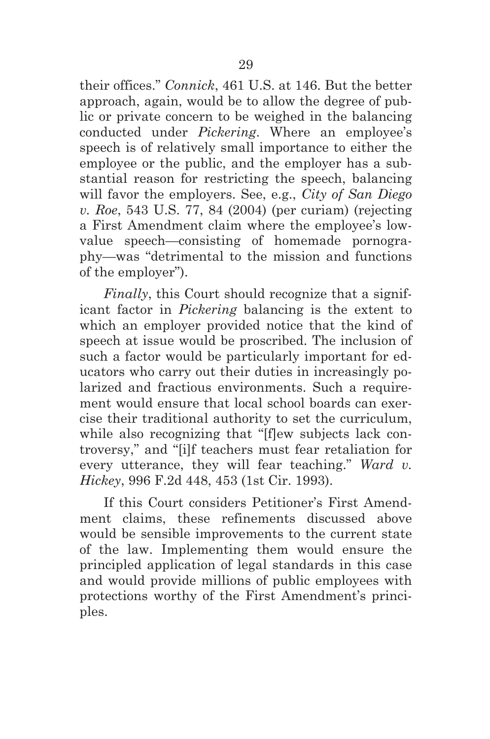their offices." *Connick*, 461 U.S. at 146. But the better approach, again, would be to allow the degree of public or private concern to be weighed in the balancing conducted under *Pickering*. Where an employee's speech is of relatively small importance to either the employee or the public, and the employer has a substantial reason for restricting the speech, balancing will favor the employers. See, e.g., *City of San Diego v. Roe*, 543 U.S. 77, 84 (2004) (per curiam) (rejecting a First Amendment claim where the employee's lowvalue speech—consisting of homemade pornography—was "detrimental to the mission and functions of the employer").

*Finally*, this Court should recognize that a significant factor in *Pickering* balancing is the extent to which an employer provided notice that the kind of speech at issue would be proscribed. The inclusion of such a factor would be particularly important for educators who carry out their duties in increasingly polarized and fractious environments. Such a requirement would ensure that local school boards can exercise their traditional authority to set the curriculum, while also recognizing that "[f]ew subjects lack controversy," and "[i]f teachers must fear retaliation for every utterance, they will fear teaching." *Ward v. Hickey*, 996 F.2d 448, 453 (1st Cir. 1993).

If this Court considers Petitioner's First Amendment claims, these refinements discussed above would be sensible improvements to the current state of the law. Implementing them would ensure the principled application of legal standards in this case and would provide millions of public employees with protections worthy of the First Amendment's principles.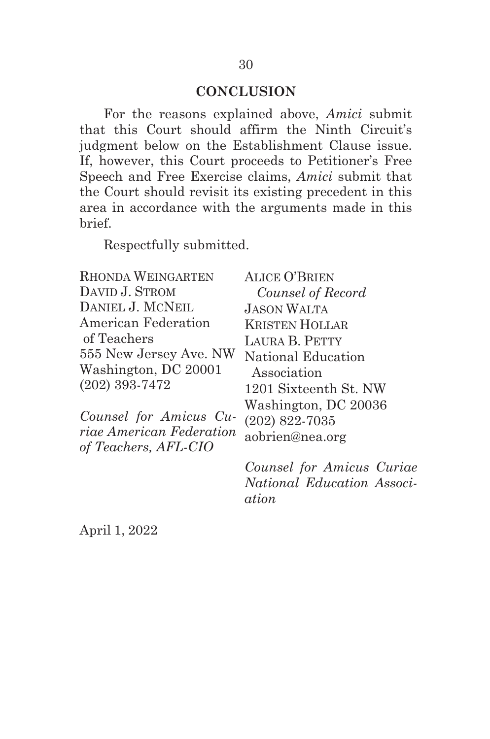### **CONCLUSION**

For the reasons explained above, *Amici* submit that this Court should affirm the Ninth Circuit's judgment below on the Establishment Clause issue. If, however, this Court proceeds to Petitioner's Free Speech and Free Exercise claims, *Amici* submit that the Court should revisit its existing precedent in this area in accordance with the arguments made in this brief.

Respectfully submitted.

| <b>RHONDA WEINGARTEN</b> | <b>ALICE O'BRIEN</b>  |
|--------------------------|-----------------------|
| DAVID J. STROM           | Counsel of Record     |
| DANIEL J. MCNEIL         | <b>JASON WALTA</b>    |
| American Federation      | <b>KRISTEN HOLLAR</b> |
| of Teachers              | LAURA B. PETTY        |
| 555 New Jersey Ave. NW   | National Education    |
| Washington, DC 20001     | Association           |
| $(202)$ 393-7472         | 1201 Sixteenth St. NW |
|                          | Washington, DC 20036  |
| Counsel for Amicus Cu-   | $(202)$ 822-7035      |
| riae American Federation | aobrien@nea.org       |
| of Teachers, AFL-CIO     |                       |

*Counsel for Amicus Curiae National Education Association*

April 1, 2022